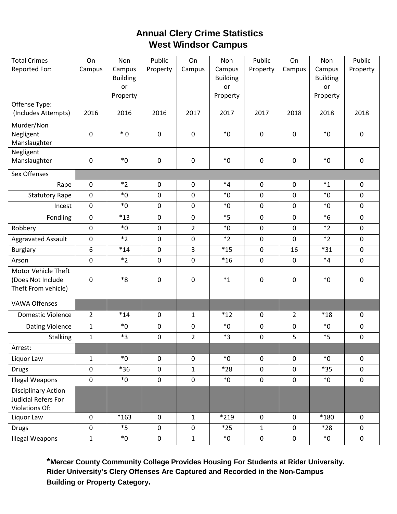# **Annual Clery Crime Statistics West Windsor Campus**

| <b>Total Crimes</b>       | On               | Non                   | Public           | On               | Non             | Public           | On             | Non             | Public       |
|---------------------------|------------------|-----------------------|------------------|------------------|-----------------|------------------|----------------|-----------------|--------------|
| Reported For:             | Campus           | Campus                | Property         | Campus           | Campus          | Property         | Campus         | Campus          | Property     |
|                           |                  | <b>Building</b>       |                  |                  | <b>Building</b> |                  |                | <b>Building</b> |              |
|                           |                  | <b>or</b><br>Property |                  |                  | or<br>Property  |                  |                | or<br>Property  |              |
| Offense Type:             |                  |                       |                  |                  |                 |                  |                |                 |              |
| (Includes Attempts)       | 2016             | 2016                  | 2016             | 2017             | 2017            | 2017             | 2018           | 2018            | 2018         |
| Murder/Non                |                  |                       |                  |                  |                 |                  |                |                 |              |
| Negligent                 | $\pmb{0}$        | $*0$                  | $\boldsymbol{0}$ | 0                | $*_{0}$         | $\pmb{0}$        | $\mathbf 0$    | $*_{0}$         | $\pmb{0}$    |
| Manslaughter<br>Negligent |                  |                       |                  |                  |                 |                  |                |                 |              |
| Manslaughter              | $\pmb{0}$        | $^*0$                 | $\boldsymbol{0}$ | 0                | $*_{0}$         | $\mathbf 0$      | $\mathbf 0$    | $*_{0}$         | $\mathbf 0$  |
| Sex Offenses              |                  |                       |                  |                  |                 |                  |                |                 |              |
| Rape                      | $\mathbf 0$      | $*2$                  | $\boldsymbol{0}$ | 0                | $*_{4}$         | $\pmb{0}$        | $\mathbf 0$    | $*_{1}$         | $\mathbf 0$  |
| <b>Statutory Rape</b>     | $\pmb{0}$        | $*_{0}$               | $\boldsymbol{0}$ | $\boldsymbol{0}$ | $*_{0}$         | $\mathbf 0$      | $\mathbf 0$    | $*_{0}$         | $\mathbf 0$  |
| Incest                    | $\pmb{0}$        | $*_{0}$               | $\boldsymbol{0}$ | 0                | $*_{0}$         | $\mathbf 0$      | $\mathbf 0$    | $*_{0}$         | $\mathbf 0$  |
| Fondling                  | $\pmb{0}$        | $*13$                 | $\boldsymbol{0}$ | $\mathbf 0$      | $*5$            | $\mathbf 0$      | $\mathbf 0$    | $*6$            | $\mathbf 0$  |
| Robbery                   | $\pmb{0}$        | $*_{0}$               | $\boldsymbol{0}$ | $\overline{2}$   | $*0$            | $\mathbf 0$      | $\mathbf 0$    | $*2$            | $\mathbf 0$  |
| <b>Aggravated Assault</b> | $\pmb{0}$        | $*2$                  | $\boldsymbol{0}$ | 0                | $*2$            | $\pmb{0}$        | $\mathbf 0$    | $*_{2}$         | $\mathbf 0$  |
| <b>Burglary</b>           | $\boldsymbol{6}$ | $*14$                 | $\pmb{0}$        | 3                | $*15$           | $\mathbf 0$      | 16             | $*31$           | $\mathbf 0$  |
| Arson                     | $\mathbf 0$      | $*2$                  | $\mathbf 0$      | 0                | $*16$           | $\mathbf 0$      | $\mathbf 0$    | $*_{4}$         | $\mathbf{0}$ |
| Motor Vehicle Theft       |                  |                       |                  |                  |                 |                  |                |                 |              |
| (Does Not Include         | 0                | $*8$                  | $\boldsymbol{0}$ | 0                | $*_{1}$         | 0                | $\pmb{0}$      | $^*0$           | $\pmb{0}$    |
| Theft From vehicle)       |                  |                       |                  |                  |                 |                  |                |                 |              |
| <b>VAWA Offenses</b>      |                  |                       |                  |                  |                 |                  |                |                 |              |
| <b>Domestic Violence</b>  | $\overline{2}$   | $*14$                 | $\mathbf 0$      | 1                | $*12$           | $\mathbf 0$      | $\overline{2}$ | $*18$           | $\mathbf 0$  |
| Dating Violence           | $\mathbf{1}$     | $*_{0}$               | $\mathbf 0$      | $\mathbf 0$      | $*_{0}$         | $\mathbf 0$      | $\mathbf 0$    | $*_{0}$         | $\mathbf 0$  |
| <b>Stalking</b>           | $\mathbf{1}$     | $*3$                  | $\pmb{0}$        | $\overline{2}$   | $*3$            | $\pmb{0}$        | 5              | $*5$            | $\mathbf 0$  |
| Arrest:                   |                  |                       |                  |                  |                 |                  |                |                 |              |
| Liquor Law                | $\mathbf{1}$     | $*_{0}$               | $\mathbf 0$      | $\mathbf 0$      | $*_{0}$         | $\mathbf 0$      | 0              | $*_{0}$         | $\mathbf 0$  |
| <b>Drugs</b>              | $\pmb{0}$        | $*36$                 | $\mathbf 0$      | $\mathbf{1}$     | $*28$           | $\mathbf 0$      | $\mathbf 0$    | $*35$           | $\mathbf 0$  |
| <b>Illegal Weapons</b>    | $\pmb{0}$        | $^*0$                 | $\pmb{0}$        | $\mathbf 0$      | $*_{0}$         | $\pmb{0}$        | $\mathbf 0$    | $*_{0}$         | $\mathbf 0$  |
| Disciplinary Action       |                  |                       |                  |                  |                 |                  |                |                 |              |
| Judicial Refers For       |                  |                       |                  |                  |                 |                  |                |                 |              |
| Violations Of:            |                  |                       |                  |                  |                 |                  |                |                 |              |
| Liquor Law                | $\pmb{0}$        | $*163$                | $\mathbf 0$      | $\mathbf{1}$     | *219            | $\boldsymbol{0}$ | 0              | *180            | $\mathbf 0$  |
| <b>Drugs</b>              | $\pmb{0}$        | $*5$                  | $\pmb{0}$        | $\mathbf 0$      | $*25$           | $\mathbf{1}$     | $\mathbf 0$    | $*28$           | $\mathbf 0$  |
| <b>Illegal Weapons</b>    | $\mathbf 1$      | $*_{0}$               | $\pmb{0}$        | $\mathbf{1}$     | ${}^*0$         | $\boldsymbol{0}$ | $\mathbf 0$    | $*_{0}$         | $\mathbf 0$  |

**\*Mercer County Community College Provides Housing For Students at Rider University. Rider University's Clery Offenses Are Captured and Recorded in the Non-Campus Building or Property Category.**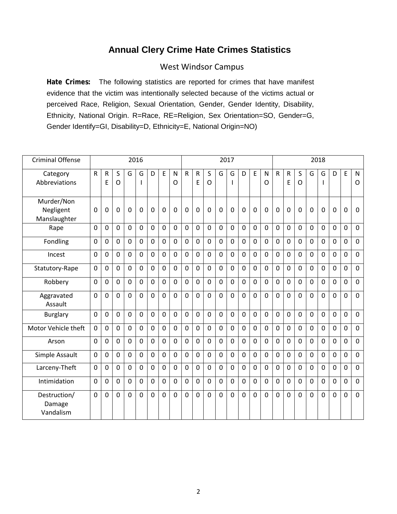### **Annual Clery Crime Hate Crimes Statistics**

#### West Windsor Campus

**Hate Crimes:** The following statistics are reported for crimes that have manifest evidence that the victim was intentionally selected because of the victims actual or perceived Race, Religion, Sexual Orientation, Gender, Gender Identity, Disability, Ethnicity, National Origin. R=Race, RE=Religion, Sex Orientation=SO, Gender=G, Gender Identify=GI, Disability=D, Ethnicity=E, National Origin=NO)

| <b>Criminal Offense</b>                 |                |                   |                |                | 2016           |                |                |                |                |                   |                |                | 2017           |                |              |                | 2018           |                  |                |             |                |                |                |                |
|-----------------------------------------|----------------|-------------------|----------------|----------------|----------------|----------------|----------------|----------------|----------------|-------------------|----------------|----------------|----------------|----------------|--------------|----------------|----------------|------------------|----------------|-------------|----------------|----------------|----------------|----------------|
| Category<br>Abbreviations               | ${\sf R}$      | $\mathsf{R}$<br>E | S<br>O         | G              | G<br>ı         | D              | E              | N<br>O         | ${\sf R}$      | $\mathsf{R}$<br>Ε | S<br>O         | G              | G              | D              | E            | N<br>O         | $\mathsf{R}$   | $\mathsf R$<br>E | S<br>O         | G           | G              | D              | E              | N<br>O         |
| Murder/Non<br>Negligent<br>Manslaughter | 0              | $\mathbf{0}$      | $\overline{0}$ | $\mathbf{0}$   | $\mathbf 0$    | $\Omega$       | $\overline{0}$ | $\overline{0}$ | 0              | $\overline{0}$    | $\mathbf 0$    | 0              | 0              | $\overline{0}$ | $\mathbf 0$  | $\mathbf 0$    | $\overline{0}$ | 0                | $\Omega$       | $\mathbf 0$ | 0              | $\mathbf 0$    | 0              | $\mathbf 0$    |
| Rape                                    | $\mathbf 0$    | $\Omega$          | $\mathbf 0$    | $\mathbf 0$    | $\mathbf 0$    | 0              | $\overline{0}$ | $\Omega$       | $\overline{0}$ | $\mathbf 0$       | $\mathbf 0$    | 0              | $\overline{0}$ | $\mathbf 0$    | $\mathbf{0}$ | $\mathbf 0$    | $\mathbf{0}$   | $\mathbf 0$      | $\mathbf 0$    | $\mathbf 0$ | $\mathbf 0$    | $\mathbf 0$    | $\mathbf 0$    | $\mathbf 0$    |
| Fondling                                | 0              | $\Omega$          | $\mathbf 0$    | $\Omega$       | $\mathbf 0$    | $\Omega$       | $\overline{0}$ | 0              | $\mathbf 0$    | $\mathbf 0$       | $\Omega$       | 0              | $\overline{0}$ | $\mathbf 0$    | $\mathbf{0}$ | $\mathbf 0$    | $\mathbf 0$    | $\mathbf 0$      | $\mathbf 0$    | $\mathbf 0$ | 0              | $\mathbf 0$    | 0              | $\mathbf 0$    |
| Incest                                  | 0              | $\mathbf 0$       | $\mathbf 0$    | $\mathbf 0$    | $\mathbf 0$    | $\overline{0}$ | $\mathbf 0$    | 0              | $\mathbf 0$    | $\mathbf 0$       | $\mathbf 0$    | 0              | $\mathbf 0$    | $\mathbf 0$    | $\mathbf 0$  | $\mathbf 0$    | $\mathbf 0$    | $\mathbf 0$      | $\mathbf 0$    | $\mathbf 0$ | $\mathbf 0$    | $\mathbf 0$    | 0              | $\mathbf 0$    |
| Statutory-Rape                          | $\mathbf 0$    | $\overline{0}$    | $\mathbf 0$    | $\overline{0}$ | $\mathbf 0$    | 0              | $\overline{0}$ | 0              | $\overline{0}$ | $\mathbf 0$       | $\mathbf 0$    | 0              | $\mathbf 0$    | $\mathbf 0$    | $\mathbf 0$  | $\mathbf 0$    | $\mathbf 0$    | $\mathbf 0$      | $\mathbf 0$    | $\mathbf 0$ | $\mathbf 0$    | $\mathbf 0$    | $\mathbf 0$    | $\mathbf 0$    |
| Robbery                                 | $\mathbf 0$    | $\Omega$          | $\mathbf 0$    | $\Omega$       | $\mathbf 0$    | $\Omega$       | $\overline{0}$ | $\Omega$       | $\overline{0}$ | $\mathbf 0$       | $\Omega$       | 0              | $\overline{0}$ | $\mathbf 0$    | $\Omega$     | $\Omega$       | $\mathbf 0$    | $\overline{0}$   | $\Omega$       | $\Omega$    | $\overline{0}$ | $\overline{0}$ | $\overline{0}$ | $\mathbf 0$    |
| Aggravated<br>Assault                   | $\mathbf 0$    | $\overline{0}$    | $\mathbf 0$    | $\mathbf 0$    | $\mathbf 0$    | 0              | $\overline{0}$ | 0              | $\overline{0}$ | $\overline{0}$    | $\mathbf 0$    | 0              | $\overline{0}$ | $\mathbf 0$    | $\mathbf{0}$ | $\overline{0}$ | $\mathbf 0$    | $\mathbf 0$      | $\mathbf 0$    | $\mathbf 0$ | 0              | $\mathbf 0$    | $\mathbf 0$    | $\mathbf 0$    |
| <b>Burglary</b>                         | $\mathbf 0$    | $\Omega$          | $\mathbf 0$    | $\mathbf 0$    | $\overline{0}$ | $\Omega$       | $\overline{0}$ | 0              | $\overline{0}$ | $\overline{0}$    | $\mathbf{0}$   | 0              | $\overline{0}$ | $\mathbf 0$    | $\Omega$     | $\Omega$       | $\Omega$       | $\overline{0}$   | $\Omega$       | $\mathbf 0$ | $\Omega$       | $\overline{0}$ | $\mathbf 0$    | $\mathbf 0$    |
| Motor Vehicle theft                     | $\mathbf{0}$   | $\mathbf 0$       | $\mathbf 0$    | $\Omega$       | $\mathbf 0$    | $\overline{0}$ | $\overline{0}$ | 0              | $\overline{0}$ | $\overline{0}$    | $\overline{0}$ | $\overline{0}$ | $\overline{0}$ | $\mathbf 0$    | $\mathbf{0}$ | $\mathbf 0$    | $\mathbf{0}$   | $\mathbf 0$      | $\mathbf{0}$   | $\mathbf 0$ | $\overline{0}$ | $\overline{0}$ | $\mathbf 0$    | $\mathbf 0$    |
| Arson                                   | $\mathbf{0}$   | $\Omega$          | $\mathbf 0$    | $\Omega$       | $\mathbf 0$    | $\Omega$       | $\overline{0}$ | $\Omega$       | $\overline{0}$ | $\overline{0}$    | $\mathbf 0$    | $\Omega$       | $\overline{0}$ | $\Omega$       | $\mathbf{0}$ | $\Omega$       | $\mathbf 0$    | 0                | $\mathbf 0$    | $\Omega$    | 0              | $\overline{0}$ | 0              | $\mathbf 0$    |
| Simple Assault                          | 0              | $\mathbf 0$       | $\mathbf 0$    | $\Omega$       | $\mathbf 0$    | $\overline{0}$ | $\overline{0}$ | 0              | $\mathbf 0$    | $\mathbf 0$       | $\mathbf 0$    | 0              | $\overline{0}$ | $\mathbf 0$    | $\mathbf 0$  | $\overline{0}$ | $\mathbf{0}$   | $\mathbf 0$      | $\mathbf 0$    | $\mathbf 0$ | $\overline{0}$ | $\overline{0}$ | $\mathbf 0$    | $\mathbf 0$    |
| Larceny-Theft                           | $\mathbf 0$    | $\Omega$          | $\mathbf 0$    | $\mathbf 0$    | $\mathbf 0$    | 0              | $\overline{0}$ | 0              | $\overline{0}$ | $\overline{0}$    | $\Omega$       | 0              | $\overline{0}$ | $\mathbf 0$    | $\mathbf 0$  | $\mathbf 0$    | 0              | $\overline{0}$   | $\overline{0}$ | $\mathbf 0$ | 0              | $\mathbf 0$    | 0              | $\mathbf 0$    |
| Intimidation                            | $\overline{0}$ | $\Omega$          | $\mathbf 0$    | $\mathbf 0$    | 0              | 0              | $\overline{0}$ | 0              | $\overline{0}$ | $\overline{0}$    | $\Omega$       | 0              | $\overline{0}$ | $\mathbf 0$    | $\mathbf 0$  | $\overline{0}$ | 0              | $\overline{0}$   | $\mathbf 0$    | $\mathbf 0$ | $\overline{0}$ | $\overline{0}$ | $\overline{0}$ | $\overline{0}$ |
| Destruction/<br>Damage<br>Vandalism     | $\overline{0}$ | $\overline{0}$    | $\overline{0}$ | $\mathbf 0$    | $\mathbf 0$    | $\Omega$       | $\overline{0}$ | $\overline{0}$ | $\overline{0}$ | $\overline{0}$    | $\overline{0}$ | $\overline{0}$ | $\mathbf 0$    | $\mathbf 0$    | $\mathbf 0$  | $\overline{0}$ | $\overline{0}$ | $\overline{0}$   | $\mathbf 0$    | $\mathbf 0$ | $\overline{0}$ | $\overline{0}$ | $\overline{0}$ | $\overline{0}$ |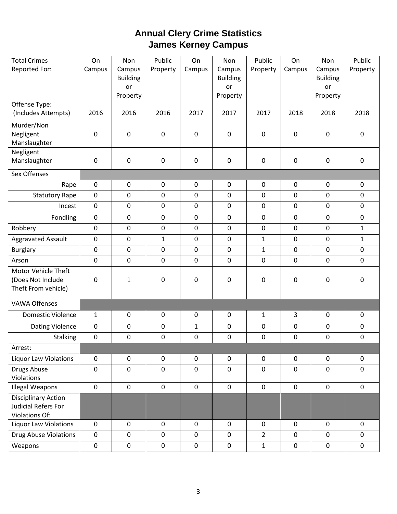## **Annual Clery Crime Statistics James Kerney Campus**

| <b>Total Crimes</b><br>Reported For:                                | On<br>Campus     | Non<br>Campus<br><b>Building</b><br>or | Public<br>Property | On<br>Campus | Non<br>Campus<br><b>Building</b><br>or | Public<br>Property | On<br>Campus     | Non<br>Campus<br><b>Building</b><br>or | Public<br>Property |
|---------------------------------------------------------------------|------------------|----------------------------------------|--------------------|--------------|----------------------------------------|--------------------|------------------|----------------------------------------|--------------------|
| Offense Type:                                                       |                  | Property                               |                    |              | Property                               |                    |                  | Property                               |                    |
| (Includes Attempts)                                                 | 2016             | 2016                                   | 2016               | 2017         | 2017                                   | 2017               | 2018             | 2018                                   | 2018               |
| Murder/Non<br>Negligent<br>Manslaughter                             | $\boldsymbol{0}$ | 0                                      | $\pmb{0}$          | $\mathbf 0$  | $\mathbf 0$                            | $\mathbf 0$        | $\mathbf 0$      | $\pmb{0}$                              | $\pmb{0}$          |
| Negligent<br>Manslaughter                                           | $\boldsymbol{0}$ | 0                                      | $\pmb{0}$          | $\mathbf 0$  | $\mathbf 0$                            | $\mathbf 0$        | $\mathbf 0$      | $\mathbf 0$                            | $\pmb{0}$          |
| Sex Offenses                                                        |                  |                                        |                    |              |                                        |                    |                  |                                        |                    |
|                                                                     |                  |                                        |                    |              |                                        |                    |                  |                                        |                    |
| Rape                                                                | $\pmb{0}$        | 0                                      | $\pmb{0}$          | $\pmb{0}$    | $\mathbf 0$                            | $\mathbf 0$        | $\pmb{0}$        | $\mathbf 0$                            | $\pmb{0}$          |
| <b>Statutory Rape</b>                                               | $\mathbf 0$      | 0                                      | $\mathbf 0$        | $\pmb{0}$    | $\mathbf 0$                            | $\mathbf 0$        | $\mathbf 0$      | $\pmb{0}$                              | $\pmb{0}$          |
| Incest                                                              | $\mathbf 0$      | 0                                      | $\mathbf 0$        | $\mathbf 0$  | $\mathbf 0$                            | 0                  | $\mathbf 0$      | $\mathbf 0$                            | $\mathbf 0$        |
| Fondling                                                            | $\mathbf 0$      | $\boldsymbol{0}$                       | $\mathbf 0$        | $\mathbf 0$  | $\pmb{0}$                              | $\mathbf 0$        | $\mathbf 0$      | $\mathbf 0$                            | $\mathbf 0$        |
| Robbery                                                             | $\mathbf 0$      | $\pmb{0}$                              | $\mathbf 0$        | $\mathbf 0$  | $\pmb{0}$                              | $\mathbf 0$        | $\mathbf 0$      | $\pmb{0}$                              | $\mathbf{1}$       |
| <b>Aggravated Assault</b>                                           | 0                | $\pmb{0}$                              | $\mathbf{1}$       | $\pmb{0}$    | $\pmb{0}$                              | $\mathbf{1}$       | $\mathbf 0$      | $\pmb{0}$                              | $\mathbf{1}$       |
| <b>Burglary</b>                                                     | $\mathbf 0$      | $\pmb{0}$                              | $\mathbf 0$        | $\pmb{0}$    | $\boldsymbol{0}$                       | $\mathbf{1}$       | $\pmb{0}$        | $\pmb{0}$                              | $\pmb{0}$          |
| Arson                                                               | $\overline{0}$   | 0                                      | $\mathbf 0$        | $\mathbf 0$  | $\mathbf 0$                            | $\mathbf 0$        | $\mathbf 0$      | $\mathbf 0$                            | $\overline{0}$     |
| Motor Vehicle Theft<br>(Does Not Include<br>Theft From vehicle)     | $\boldsymbol{0}$ | $\mathbf{1}$                           | $\pmb{0}$          | $\mathbf 0$  | 0                                      | $\mathbf 0$        | $\boldsymbol{0}$ | $\pmb{0}$                              | 0                  |
| <b>VAWA Offenses</b>                                                |                  |                                        |                    |              |                                        |                    |                  |                                        |                    |
| <b>Domestic Violence</b>                                            | $\mathbf{1}$     | 0                                      | $\mathbf 0$        | $\mathbf 0$  | $\mathbf 0$                            | $\mathbf{1}$       | 3                | $\mathbf 0$                            | $\mathbf 0$        |
| Dating Violence                                                     | $\mathbf 0$      | 0                                      | $\mathbf 0$        | $\mathbf{1}$ | $\boldsymbol{0}$                       | $\mathbf 0$        | $\mathbf 0$      | $\pmb{0}$                              | $\pmb{0}$          |
| Stalking                                                            | $\pmb{0}$        | 0                                      | $\pmb{0}$          | $\pmb{0}$    | 0                                      | 0                  | $\boldsymbol{0}$ | $\boldsymbol{0}$                       | $\pmb{0}$          |
| Arrest:                                                             |                  |                                        |                    |              |                                        |                    |                  |                                        |                    |
| <b>Liquor Law Violations</b>                                        | $\mathbf 0$      | $\mathbf 0$                            | $\mathbf 0$        | $\mathbf 0$  | $\mathbf 0$                            | $\mathbf 0$        | $\mathbf 0$      | $\mathbf 0$                            | $\pmb{0}$          |
| Drugs Abuse<br>Violations                                           | $\mathbf 0$      | $\mathbf 0$                            | $\mathbf 0$        | $\pmb{0}$    | $\mathbf 0$                            | $\mathbf 0$        | $\mathbf 0$      | $\pmb{0}$                              | $\mathbf 0$        |
| <b>Illegal Weapons</b>                                              | $\mathbf 0$      | $\boldsymbol{0}$                       | $\pmb{0}$          | $\mathbf 0$  | $\mathbf 0$                            | $\pmb{0}$          | $\mathbf 0$      | $\mathbf 0$                            | $\boldsymbol{0}$   |
| <b>Disciplinary Action</b><br>Judicial Refers For<br>Violations Of: |                  |                                        |                    |              |                                        |                    |                  |                                        |                    |
| <b>Liquor Law Violations</b>                                        | $\mathbf 0$      | $\mathbf 0$                            | $\mathbf 0$        | $\mathbf 0$  | $\mathbf 0$                            | $\mathbf 0$        | $\mathbf 0$      | $\mathbf 0$                            | $\mathbf 0$        |
| Drug Abuse Violations                                               | $\mathbf 0$      | $\mathbf 0$                            | $\mathbf 0$        | $\mathbf 0$  | $\mathbf 0$                            | $\overline{2}$     | $\mathbf 0$      | $\mathbf 0$                            | $\mathbf 0$        |
| Weapons                                                             | $\pmb{0}$        | $\pmb{0}$                              | $\pmb{0}$          | $\pmb{0}$    | $\pmb{0}$                              | $\mathbf 1$        | $\pmb{0}$        | $\pmb{0}$                              | $\pmb{0}$          |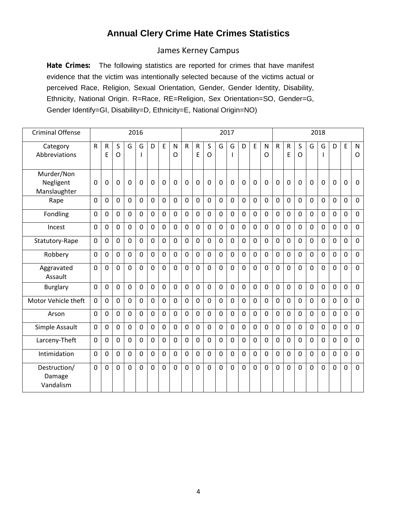### **Annual Clery Crime Hate Crimes Statistics**

#### James Kerney Campus

**Hate Crimes:** The following statistics are reported for crimes that have manifest evidence that the victim was intentionally selected because of the victims actual or perceived Race, Religion, Sexual Orientation, Gender, Gender Identity, Disability, Ethnicity, National Origin. R=Race, RE=Religion, Sex Orientation=SO, Gender=G, Gender Identify=GI, Disability=D, Ethnicity=E, National Origin=NO)

| <b>Criminal Offense</b>                 |                |                   |                   |              | 2016        |              |                |                   |                |                   |                   |                | 2017           |                |                |                | 2018           |                   |                |                |              |                |             |                         |
|-----------------------------------------|----------------|-------------------|-------------------|--------------|-------------|--------------|----------------|-------------------|----------------|-------------------|-------------------|----------------|----------------|----------------|----------------|----------------|----------------|-------------------|----------------|----------------|--------------|----------------|-------------|-------------------------|
| Category<br>Abbreviations               | ${\sf R}$      | $\mathsf{R}$<br>E | S<br>$\mathsf{O}$ | G            | G<br>T      | D            | E              | $\mathsf{N}$<br>O | R              | $\mathsf{R}$<br>E | S<br>$\mathsf{O}$ | G              | G<br>ı         | D              | E              | N<br>O         | ${\sf R}$      | $\mathsf{R}$<br>E | S<br>O         | G              | G            | D              | E           | $\mathsf{N}$<br>$\circ$ |
| Murder/Non<br>Negligent<br>Manslaughter | 0              | 0                 | 0                 | $\mathbf 0$  | $\mathbf 0$ | $\mathbf 0$  | $\overline{0}$ | $\mathbf 0$       | $\mathbf 0$    | $\overline{0}$    | 0                 | $\mathbf{0}$   | $\mathbf 0$    | $\mathbf{0}$   | $\overline{0}$ | 0              | $\mathbf 0$    | $\overline{0}$    | $\mathbf 0$    | $\mathbf 0$    | $\mathbf 0$  | $\mathbf 0$    | $\mathbf 0$ | 0                       |
| Rape                                    | $\mathbf 0$    | $\mathbf 0$       | $\overline{0}$    | $\mathbf 0$  | $\mathbf 0$ | $\mathbf 0$  | $\mathbf 0$    | $\mathbf 0$       | $\mathbf 0$    | $\mathbf 0$       | $\mathbf 0$       | $\overline{0}$ | $\mathbf 0$    | $\overline{0}$ | $\overline{0}$ | 0              | $\mathbf 0$    | $\mathbf 0$       | $\mathbf 0$    | $\mathbf 0$    | $\mathbf{0}$ | $\mathbf 0$    | $\mathbf 0$ | $\mathbf 0$             |
| Fondling                                | $\overline{0}$ | $\Omega$          | $\Omega$          | $\mathbf 0$  | $\mathbf 0$ | $\Omega$     | $\mathbf 0$    | $\Omega$          | $\mathbf 0$    | $\Omega$          | $\mathbf{0}$      | $\Omega$       | $\mathbf 0$    | $\Omega$       | $\overline{0}$ | $\overline{0}$ | $\overline{0}$ | $\overline{0}$    | $\Omega$       | $\Omega$       | $\mathbf{0}$ | $\Omega$       | $\mathbf 0$ | $\overline{0}$          |
| Incest                                  | 0              | $\mathbf 0$       | $\overline{0}$    | $\mathbf{0}$ | $\mathbf 0$ | $\mathbf 0$  | $\mathbf 0$    | $\mathbf 0$       | $\mathbf 0$    | $\mathbf 0$       | $\mathbf 0$       | 0              | $\mathbf 0$    | $\overline{0}$ | $\overline{0}$ | 0              | $\overline{0}$ | $\overline{0}$    | $\overline{0}$ | $\overline{0}$ | $\mathbf{0}$ | $\mathbf 0$    | $\mathbf 0$ | 0                       |
| Statutory-Rape                          | 0              | $\Omega$          | $\mathbf 0$       | $\mathbf{0}$ | $\mathbf 0$ | $\mathbf{0}$ | $\mathbf 0$    | $\mathbf 0$       | $\mathbf 0$    | $\overline{0}$    | $\mathbf{0}$      | $\overline{0}$ | $\mathbf 0$    | $\overline{0}$ | $\overline{0}$ | $\overline{0}$ | $\overline{0}$ | $\mathbf 0$       | $\overline{0}$ | $\mathbf 0$    | $\mathbf 0$  | $\Omega$       | $\mathbf 0$ | $\mathbf 0$             |
| Robbery                                 | $\mathbf 0$    | $\mathbf 0$       | $\mathbf 0$       | $\mathbf 0$  | $\mathbf 0$ | $\mathbf{0}$ | $\mathbf 0$    | $\Omega$          | $\overline{0}$ | $\overline{0}$    | $\overline{0}$    | $\overline{0}$ | $\overline{0}$ | $\overline{0}$ | $\overline{0}$ | 0              | $\overline{0}$ | $\overline{0}$    | $\Omega$       | $\mathbf 0$    | $\mathbf{0}$ | $\mathbf 0$    | $\mathbf 0$ | $\mathbf 0$             |
| Aggravated<br>Assault                   | $\mathbf 0$    | 0                 | $\overline{0}$    | $\mathbf 0$  | $\mathbf 0$ | $\mathbf 0$  | $\mathbf 0$    | $\mathbf 0$       | $\mathbf 0$    | $\overline{0}$    | $\overline{0}$    | $\Omega$       | $\overline{0}$ | $\Omega$       | $\overline{0}$ | 0              | $\overline{0}$ | $\overline{0}$    | $\overline{0}$ | $\overline{0}$ | $\mathbf 0$  | $\mathbf 0$    | $\mathbf 0$ | $\mathbf 0$             |
| <b>Burglary</b>                         | $\mathbf{0}$   | $\Omega$          | $\mathbf 0$       | $\Omega$     | $\mathbf 0$ | $\mathbf{0}$ | $\Omega$       | $\Omega$          | $\mathbf 0$    | $\Omega$          | $\Omega$          | $\Omega$       | $\mathbf 0$    | $\Omega$       | $\overline{0}$ | 0              | $\overline{0}$ | $\mathbf 0$       | $\Omega$       | $\mathbf 0$    | $\Omega$     | $\Omega$       | $\mathbf 0$ | $\mathbf 0$             |
| Motor Vehicle theft                     | 0              | $\mathbf 0$       | $\mathbf 0$       | $\mathbf 0$  | $\mathbf 0$ | $\mathbf 0$  | $\mathbf 0$    | $\mathbf 0$       | $\mathbf 0$    | $\Omega$          | $\mathbf 0$       | $\mathbf 0$    | $\mathbf 0$    | $\mathbf 0$    | $\overline{0}$ | 0              | 0              | $\mathbf 0$       | $\mathbf 0$    | $\mathbf 0$    | $\mathbf{0}$ | $\mathbf 0$    | $\mathbf 0$ | $\mathbf 0$             |
| Arson                                   | 0              | 0                 | $\mathbf 0$       | 0            | $\mathbf 0$ | $\mathbf 0$  | $\mathbf 0$    | $\mathbf 0$       | $\mathbf 0$    | $\Omega$          | $\mathbf 0$       | 0              | $\mathbf 0$    | $\overline{0}$ | $\overline{0}$ | 0              | 0              | $\overline{0}$    | $\mathbf 0$    | $\mathbf 0$    | $\mathbf 0$  | $\mathbf 0$    | $\mathbf 0$ | $\mathbf 0$             |
| Simple Assault                          | 0              | 0                 | $\mathbf 0$       | 0            | $\mathbf 0$ | $\mathbf 0$  | $\mathbf 0$    | $\mathbf 0$       | $\mathbf 0$    | $\mathbf 0$       | $\mathbf 0$       | $\mathbf 0$    | $\mathbf 0$    | $\mathbf 0$    | $\overline{0}$ | 0              | 0              | $\mathbf 0$       | $\mathbf 0$    | $\mathbf 0$    | $\mathbf 0$  | $\mathbf 0$    | $\mathbf 0$ | 0                       |
| Larceny-Theft                           | 0              | $\mathbf 0$       | $\mathbf 0$       | $\mathbf 0$  | $\mathbf 0$ | $\mathbf 0$  | $\mathbf 0$    | $\mathbf 0$       | $\mathbf 0$    | $\Omega$          | $\mathbf 0$       | $\mathbf 0$    | $\mathbf 0$    | $\Omega$       | $\overline{0}$ | 0              | $\overline{0}$ | $\overline{0}$    | $\mathbf 0$    | $\mathbf 0$    | $\mathbf{0}$ | $\mathbf 0$    | $\mathbf 0$ | 0                       |
| Intimidation                            | $\mathbf 0$    | 0                 | $\mathbf 0$       | $\mathbf 0$  | $\mathbf 0$ | $\mathbf 0$  | $\mathbf 0$    | $\mathbf 0$       | $\mathbf 0$    | $\mathbf 0$       | $\mathbf 0$       | $\mathbf 0$    | $\mathbf 0$    | $\overline{0}$ | $\mathbf 0$    | 0              | 0              | $\mathbf 0$       | $\mathbf 0$    | $\mathbf 0$    | $\mathbf 0$  | $\mathbf 0$    | $\mathbf 0$ | $\mathbf 0$             |
| Destruction/<br>Damage<br>Vandalism     | $\mathbf 0$    | $\mathbf 0$       | $\overline{0}$    | $\mathbf 0$  | $\mathbf 0$ | $\mathbf 0$  | $\mathbf 0$    | $\mathbf 0$       | $\mathbf 0$    | $\mathbf 0$       | $\mathbf 0$       | 0              | $\overline{0}$ | $\mathbf 0$    | $\overline{0}$ | 0              | $\overline{0}$ | $\overline{0}$    | $\mathbf 0$    | $\mathbf 0$    | $\mathbf 0$  | $\overline{0}$ | $\mathbf 0$ | $\mathbf 0$             |